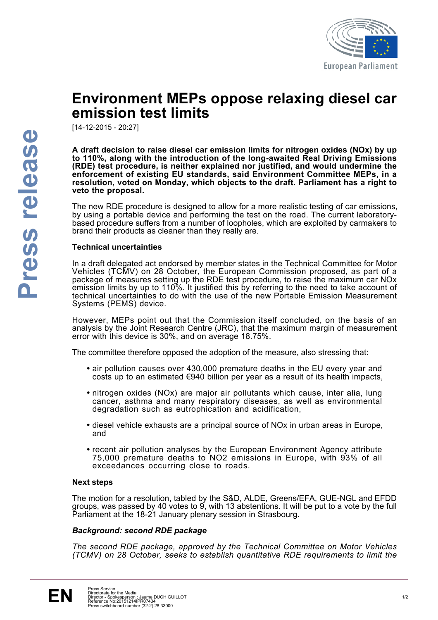

# **Environment MEPs oppose relaxing diesel car emission test limits**

[14-12-2015 - 20:27]

**A draft decision to raise diesel car emission limits for nitrogen oxides (NOx) by up to 110%, along with the introduction of the long-awaited Real Driving Emissions (RDE) test procedure, is neither explained nor justified, and would undermine the enforcement of existing EU standards, said Environment Committee MEPs, in a resolution, voted on Monday, which objects to the draft. Parliament has a right to veto the proposal.**

The new RDE procedure is designed to allow for a more realistic testing of car emissions. by using a portable device and performing the test on the road. The current laboratorybased procedure suffers from a number of loopholes, which are exploited by carmakers to brand their products as cleaner than they really are.

## **Technical uncertainties**

In a draft delegated act endorsed by member states in the Technical Committee for Motor Vehicles (TCMV) on 28 October, the European Commission proposed, as part of a package of measures setting up the RDE test procedure, to raise the maximum car NOx emission limits by up to 110%. It justified this by referring to the need to take account of technical uncertainties to do with the use of the new Portable Emission Measurement Systems (PEMS) device.

However, MEPs point out that the Commission itself concluded, on the basis of an analysis by the Joint Research Centre (JRC), that the maximum margin of measurement error with this device is 30%, and on average 18.75%.

The committee therefore opposed the adoption of the measure, also stressing that:

- air pollution causes over 430,000 premature deaths in the EU every year and costs up to an estimated  $€940$  billion per year as a result of its health impacts,
- nitrogen oxides (NOx) are major air pollutants which cause, inter alia, lung cancer, asthma and many respiratory diseases, as well as environmental degradation such as eutrophication and acidification,
- diesel vehicle exhausts are a principal source of NOx in urban areas in Europe, and
- recent air pollution analyses by the European Environment Agency attribute 75,000 premature deaths to NO2 emissions in Europe, with 93% of all exceedances occurring close to roads.

#### **Next steps**

The motion for a resolution, tabled by the S&D, ALDE, Greens/EFA, GUE-NGL and EFDD groups, was passed by 40 votes to 9, with 13 abstentions. It will be put to a vote by the full Parliament at the 18-21 January plenary session in Strasbourg.

#### *Background: second RDE package*

*The second RDE package, approved by the Technical Committee on Motor Vehicles (TCMV) on 28 October, seeks to establish quantitative RDE requirements to limit the*